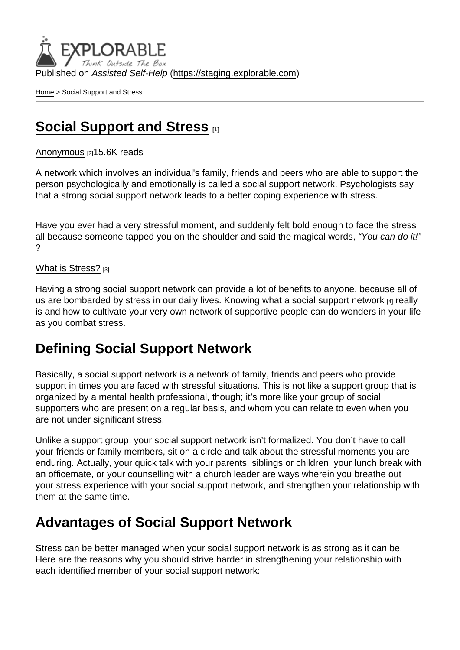Published on Assisted Self-Help [\(https://staging.explorable.com](https://staging.explorable.com))

[Home](https://staging.explorable.com/en) > Social Support and Stress

## [Social Support and Stress](https://staging.explorable.com/en/social-support-and-stress)

[Anonymous](https://staging.explorable.com/en/users/sarah) [2] 15.6K reads

A network which involves an individual's family, friends and peers who are able to support the person psychologically and emotionally is called a social support network. Psychologists say that a strong social support network leads to a better coping experience with stress.

Have you ever had a very stressful moment, and suddenly felt bold enough to face the stress all because someone tapped you on the shoulder and said the magical words, "You can do it!" ?

#### [What is Stress?](https://staging.explorable.com/what-is-stress) [3]

Having a strong social support network can provide a lot of benefits to anyone, because all of us are bombarded by stress in our daily lives. Knowing what a [social support network](http://www.mayoclinic.com/health/social-support/SR00033) [4] really is and how to cultivate your very own network of supportive people can do wonders in your life as you combat stress.

# Defining Social Support Network

Basically, a social support network is a network of family, friends and peers who provide support in times you are faced with stressful situations. This is not like a support group that is organized by a mental health professional, though; it's more like your group of social supporters who are present on a regular basis, and whom you can relate to even when you are not under significant stress.

Unlike a support group, your social support network isn't formalized. You don't have to call your friends or family members, sit on a circle and talk about the stressful moments you are enduring. Actually, your quick talk with your parents, siblings or children, your lunch break with an officemate, or your counselling with a church leader are ways wherein you breathe out your stress experience with your social support network, and strengthen your relationship with them at the same time.

## Advantages of Social Support Network

Stress can be better managed when your social support network is as strong as it can be. Here are the reasons why you should strive harder in strengthening your relationship with each identified member of your social support network: